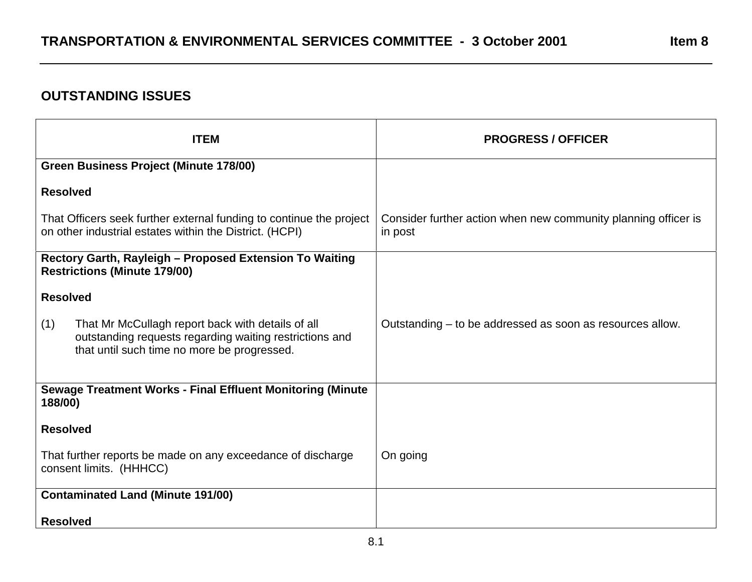## **OUTSTANDING ISSUES**

| <b>ITEM</b>                                                                                                                                                        | <b>PROGRESS / OFFICER</b>                                                 |
|--------------------------------------------------------------------------------------------------------------------------------------------------------------------|---------------------------------------------------------------------------|
| <b>Green Business Project (Minute 178/00)</b>                                                                                                                      |                                                                           |
| <b>Resolved</b>                                                                                                                                                    |                                                                           |
| That Officers seek further external funding to continue the project<br>on other industrial estates within the District. (HCPI)                                     | Consider further action when new community planning officer is<br>in post |
| Rectory Garth, Rayleigh - Proposed Extension To Waiting<br><b>Restrictions (Minute 179/00)</b>                                                                     |                                                                           |
| <b>Resolved</b>                                                                                                                                                    |                                                                           |
| (1)<br>That Mr McCullagh report back with details of all<br>outstanding requests regarding waiting restrictions and<br>that until such time no more be progressed. | Outstanding – to be addressed as soon as resources allow.                 |
| <b>Sewage Treatment Works - Final Effluent Monitoring (Minute</b><br>188/00)                                                                                       |                                                                           |
| <b>Resolved</b>                                                                                                                                                    |                                                                           |
| That further reports be made on any exceedance of discharge<br>consent limits. (HHHCC)                                                                             | On going                                                                  |
| <b>Contaminated Land (Minute 191/00)</b>                                                                                                                           |                                                                           |
| <b>Resolved</b>                                                                                                                                                    |                                                                           |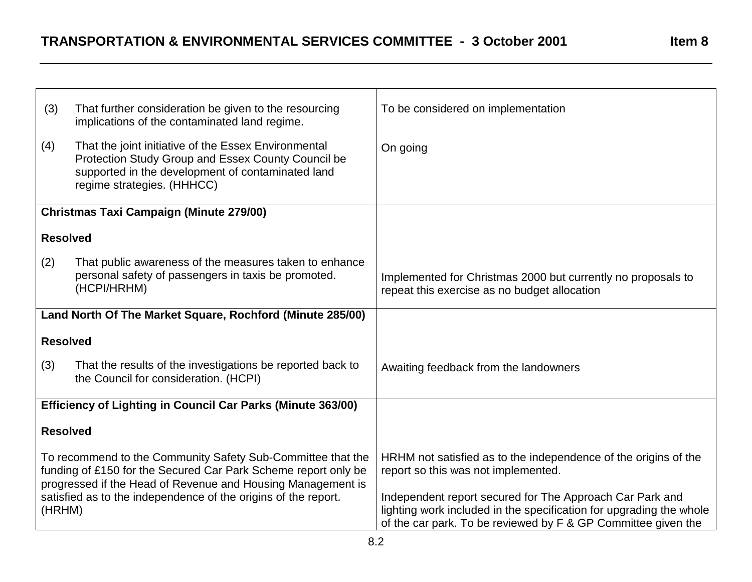| (3)                                                                                                                                                                                          | That further consideration be given to the resourcing<br>implications of the contaminated land regime.                                                                                        | To be considered on implementation                                                                                                                                                               |
|----------------------------------------------------------------------------------------------------------------------------------------------------------------------------------------------|-----------------------------------------------------------------------------------------------------------------------------------------------------------------------------------------------|--------------------------------------------------------------------------------------------------------------------------------------------------------------------------------------------------|
| (4)                                                                                                                                                                                          | That the joint initiative of the Essex Environmental<br>Protection Study Group and Essex County Council be<br>supported in the development of contaminated land<br>regime strategies. (HHHCC) | On going                                                                                                                                                                                         |
|                                                                                                                                                                                              | <b>Christmas Taxi Campaign (Minute 279/00)</b>                                                                                                                                                |                                                                                                                                                                                                  |
| <b>Resolved</b>                                                                                                                                                                              |                                                                                                                                                                                               |                                                                                                                                                                                                  |
| (2)                                                                                                                                                                                          | That public awareness of the measures taken to enhance<br>personal safety of passengers in taxis be promoted.<br>(HCPI/HRHM)                                                                  | Implemented for Christmas 2000 but currently no proposals to<br>repeat this exercise as no budget allocation                                                                                     |
|                                                                                                                                                                                              | Land North Of The Market Square, Rochford (Minute 285/00)                                                                                                                                     |                                                                                                                                                                                                  |
| <b>Resolved</b>                                                                                                                                                                              |                                                                                                                                                                                               |                                                                                                                                                                                                  |
| (3)                                                                                                                                                                                          | That the results of the investigations be reported back to<br>the Council for consideration. (HCPI)                                                                                           | Awaiting feedback from the landowners                                                                                                                                                            |
|                                                                                                                                                                                              | Efficiency of Lighting in Council Car Parks (Minute 363/00)                                                                                                                                   |                                                                                                                                                                                                  |
| <b>Resolved</b>                                                                                                                                                                              |                                                                                                                                                                                               |                                                                                                                                                                                                  |
| To recommend to the Community Safety Sub-Committee that the<br>funding of £150 for the Secured Car Park Scheme report only be<br>progressed if the Head of Revenue and Housing Management is |                                                                                                                                                                                               | HRHM not satisfied as to the independence of the origins of the<br>report so this was not implemented.                                                                                           |
| (HRHM)                                                                                                                                                                                       | satisfied as to the independence of the origins of the report.                                                                                                                                | Independent report secured for The Approach Car Park and<br>lighting work included in the specification for upgrading the whole<br>of the car park. To be reviewed by F & GP Committee given the |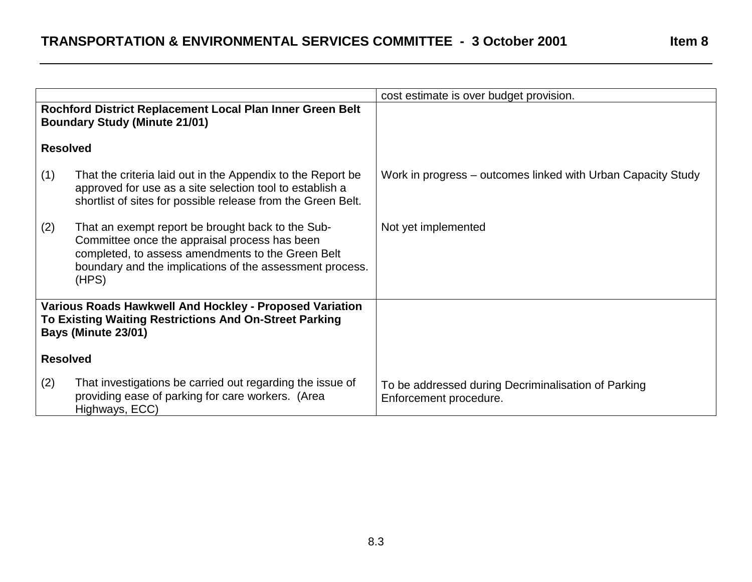|                                                                                                                                          |                                                                                                                                                                                                                              | cost estimate is over budget provision.                                       |
|------------------------------------------------------------------------------------------------------------------------------------------|------------------------------------------------------------------------------------------------------------------------------------------------------------------------------------------------------------------------------|-------------------------------------------------------------------------------|
|                                                                                                                                          | Rochford District Replacement Local Plan Inner Green Belt<br><b>Boundary Study (Minute 21/01)</b>                                                                                                                            |                                                                               |
| <b>Resolved</b>                                                                                                                          |                                                                                                                                                                                                                              |                                                                               |
| (1)                                                                                                                                      | That the criteria laid out in the Appendix to the Report be<br>approved for use as a site selection tool to establish a<br>shortlist of sites for possible release from the Green Belt.                                      | Work in progress – outcomes linked with Urban Capacity Study                  |
| (2)                                                                                                                                      | That an exempt report be brought back to the Sub-<br>Committee once the appraisal process has been<br>completed, to assess amendments to the Green Belt<br>boundary and the implications of the assessment process.<br>(HPS) | Not yet implemented                                                           |
| Various Roads Hawkwell And Hockley - Proposed Variation<br>To Existing Waiting Restrictions And On-Street Parking<br>Bays (Minute 23/01) |                                                                                                                                                                                                                              |                                                                               |
| <b>Resolved</b>                                                                                                                          |                                                                                                                                                                                                                              |                                                                               |
| (2)                                                                                                                                      | That investigations be carried out regarding the issue of<br>providing ease of parking for care workers. (Area<br>Highways, ECC)                                                                                             | To be addressed during Decriminalisation of Parking<br>Enforcement procedure. |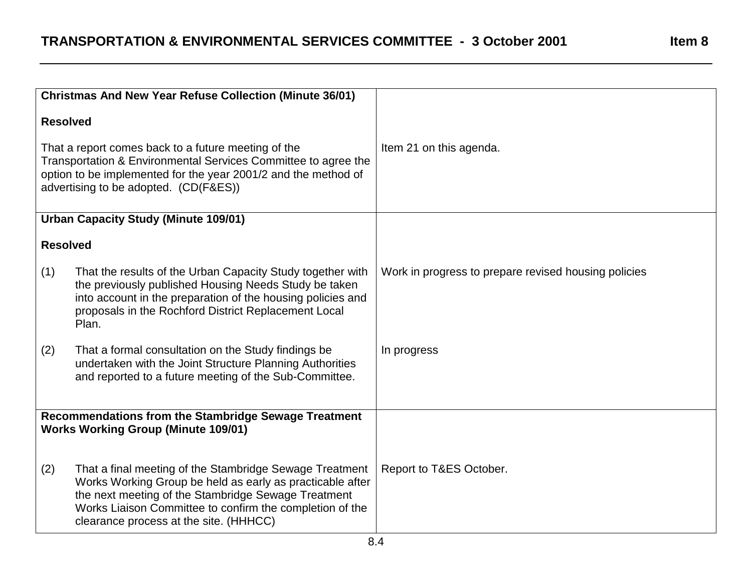|                                                                                                                                                                                                                                  | <b>Christmas And New Year Refuse Collection (Minute 36/01)</b>                                                                                                                                                                                                                    |                                                      |
|----------------------------------------------------------------------------------------------------------------------------------------------------------------------------------------------------------------------------------|-----------------------------------------------------------------------------------------------------------------------------------------------------------------------------------------------------------------------------------------------------------------------------------|------------------------------------------------------|
|                                                                                                                                                                                                                                  | <b>Resolved</b>                                                                                                                                                                                                                                                                   |                                                      |
| That a report comes back to a future meeting of the<br>Transportation & Environmental Services Committee to agree the<br>option to be implemented for the year 2001/2 and the method of<br>advertising to be adopted. (CD(F&ES)) |                                                                                                                                                                                                                                                                                   | Item 21 on this agenda.                              |
|                                                                                                                                                                                                                                  | <b>Urban Capacity Study (Minute 109/01)</b>                                                                                                                                                                                                                                       |                                                      |
|                                                                                                                                                                                                                                  | <b>Resolved</b>                                                                                                                                                                                                                                                                   |                                                      |
| (1)                                                                                                                                                                                                                              | That the results of the Urban Capacity Study together with<br>the previously published Housing Needs Study be taken<br>into account in the preparation of the housing policies and<br>proposals in the Rochford District Replacement Local<br>Plan.                               | Work in progress to prepare revised housing policies |
| (2)                                                                                                                                                                                                                              | That a formal consultation on the Study findings be<br>undertaken with the Joint Structure Planning Authorities<br>and reported to a future meeting of the Sub-Committee.                                                                                                         | In progress                                          |
|                                                                                                                                                                                                                                  | <b>Recommendations from the Stambridge Sewage Treatment</b><br><b>Works Working Group (Minute 109/01)</b>                                                                                                                                                                         |                                                      |
| (2)                                                                                                                                                                                                                              | That a final meeting of the Stambridge Sewage Treatment<br>Works Working Group be held as early as practicable after<br>the next meeting of the Stambridge Sewage Treatment<br>Works Liaison Committee to confirm the completion of the<br>clearance process at the site. (HHHCC) | Report to T&ES October.                              |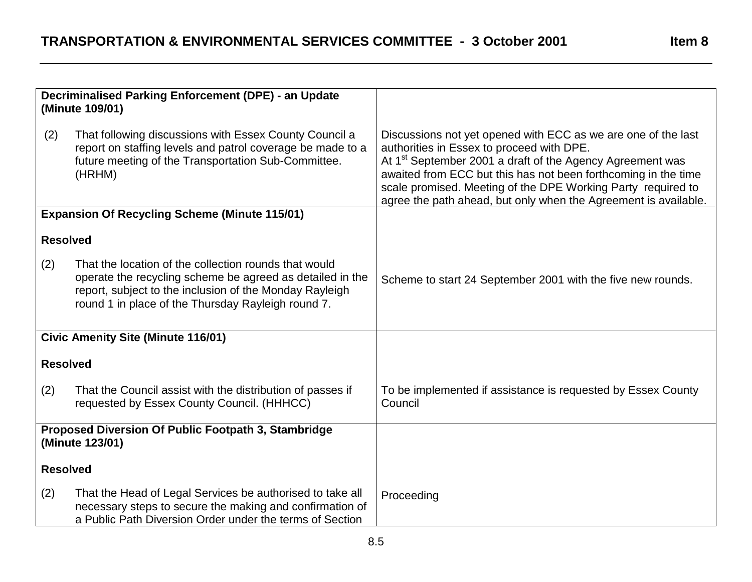|                 | Decriminalised Parking Enforcement (DPE) - an Update<br>(Minute 109/01)                                                                                                                                                             |                                                                                                                                                                                                                                                                                                                                                                                          |
|-----------------|-------------------------------------------------------------------------------------------------------------------------------------------------------------------------------------------------------------------------------------|------------------------------------------------------------------------------------------------------------------------------------------------------------------------------------------------------------------------------------------------------------------------------------------------------------------------------------------------------------------------------------------|
| (2)             | That following discussions with Essex County Council a<br>report on staffing levels and patrol coverage be made to a<br>future meeting of the Transportation Sub-Committee.<br>(HRHM)                                               | Discussions not yet opened with ECC as we are one of the last<br>authorities in Essex to proceed with DPE.<br>At 1 <sup>st</sup> September 2001 a draft of the Agency Agreement was<br>awaited from ECC but this has not been forthcoming in the time<br>scale promised. Meeting of the DPE Working Party required to<br>agree the path ahead, but only when the Agreement is available. |
|                 | <b>Expansion Of Recycling Scheme (Minute 115/01)</b>                                                                                                                                                                                |                                                                                                                                                                                                                                                                                                                                                                                          |
| <b>Resolved</b> |                                                                                                                                                                                                                                     |                                                                                                                                                                                                                                                                                                                                                                                          |
| (2)             | That the location of the collection rounds that would<br>operate the recycling scheme be agreed as detailed in the<br>report, subject to the inclusion of the Monday Rayleigh<br>round 1 in place of the Thursday Rayleigh round 7. | Scheme to start 24 September 2001 with the five new rounds.                                                                                                                                                                                                                                                                                                                              |
|                 | <b>Civic Amenity Site (Minute 116/01)</b>                                                                                                                                                                                           |                                                                                                                                                                                                                                                                                                                                                                                          |
| <b>Resolved</b> |                                                                                                                                                                                                                                     |                                                                                                                                                                                                                                                                                                                                                                                          |
| (2)             | That the Council assist with the distribution of passes if<br>requested by Essex County Council. (HHHCC)                                                                                                                            | To be implemented if assistance is requested by Essex County<br>Council                                                                                                                                                                                                                                                                                                                  |
|                 | Proposed Diversion Of Public Footpath 3, Stambridge<br>(Minute 123/01)                                                                                                                                                              |                                                                                                                                                                                                                                                                                                                                                                                          |
| <b>Resolved</b> |                                                                                                                                                                                                                                     |                                                                                                                                                                                                                                                                                                                                                                                          |
| (2)             | That the Head of Legal Services be authorised to take all<br>necessary steps to secure the making and confirmation of<br>a Public Path Diversion Order under the terms of Section                                                   | Proceeding                                                                                                                                                                                                                                                                                                                                                                               |

Item 8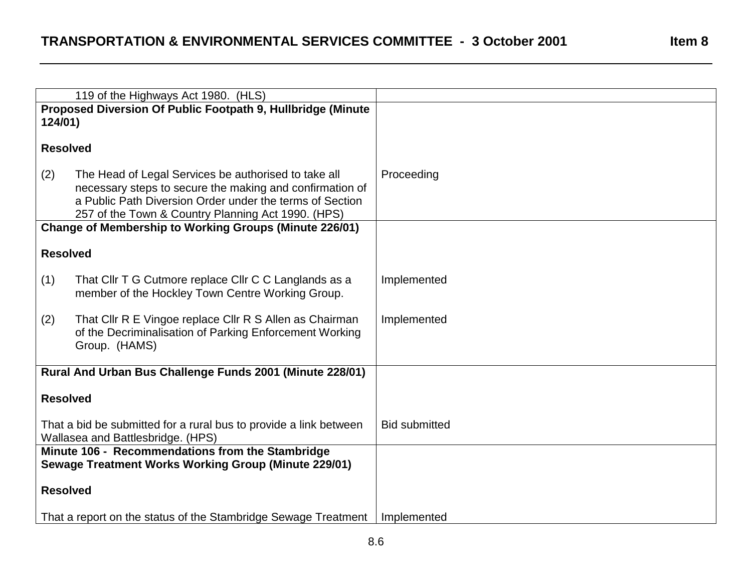|                                                                                                        | 119 of the Highways Act 1980. (HLS)                                                                                                                                                                                                |                      |
|--------------------------------------------------------------------------------------------------------|------------------------------------------------------------------------------------------------------------------------------------------------------------------------------------------------------------------------------------|----------------------|
|                                                                                                        | Proposed Diversion Of Public Footpath 9, Hullbridge (Minute                                                                                                                                                                        |                      |
| 124/01)                                                                                                |                                                                                                                                                                                                                                    |                      |
|                                                                                                        |                                                                                                                                                                                                                                    |                      |
| <b>Resolved</b>                                                                                        |                                                                                                                                                                                                                                    |                      |
| (2)                                                                                                    | The Head of Legal Services be authorised to take all<br>necessary steps to secure the making and confirmation of<br>a Public Path Diversion Order under the terms of Section<br>257 of the Town & Country Planning Act 1990. (HPS) | Proceeding           |
|                                                                                                        | <b>Change of Membership to Working Groups (Minute 226/01)</b>                                                                                                                                                                      |                      |
| <b>Resolved</b>                                                                                        |                                                                                                                                                                                                                                    |                      |
| (1)                                                                                                    | That CIIr T G Cutmore replace CIIr C C Langlands as a<br>member of the Hockley Town Centre Working Group.                                                                                                                          | Implemented          |
| (2)                                                                                                    | That Cllr R E Vingoe replace Cllr R S Allen as Chairman<br>of the Decriminalisation of Parking Enforcement Working<br>Group. (HAMS)                                                                                                | Implemented          |
| Rural And Urban Bus Challenge Funds 2001 (Minute 228/01)                                               |                                                                                                                                                                                                                                    |                      |
| <b>Resolved</b>                                                                                        |                                                                                                                                                                                                                                    |                      |
| That a bid be submitted for a rural bus to provide a link between<br>Wallasea and Battlesbridge. (HPS) |                                                                                                                                                                                                                                    | <b>Bid submitted</b> |
| Minute 106 - Recommendations from the Stambridge                                                       |                                                                                                                                                                                                                                    |                      |
| Sewage Treatment Works Working Group (Minute 229/01)                                                   |                                                                                                                                                                                                                                    |                      |
| <b>Resolved</b>                                                                                        |                                                                                                                                                                                                                                    |                      |
|                                                                                                        | That a report on the status of the Stambridge Sewage Treatment                                                                                                                                                                     | Implemented          |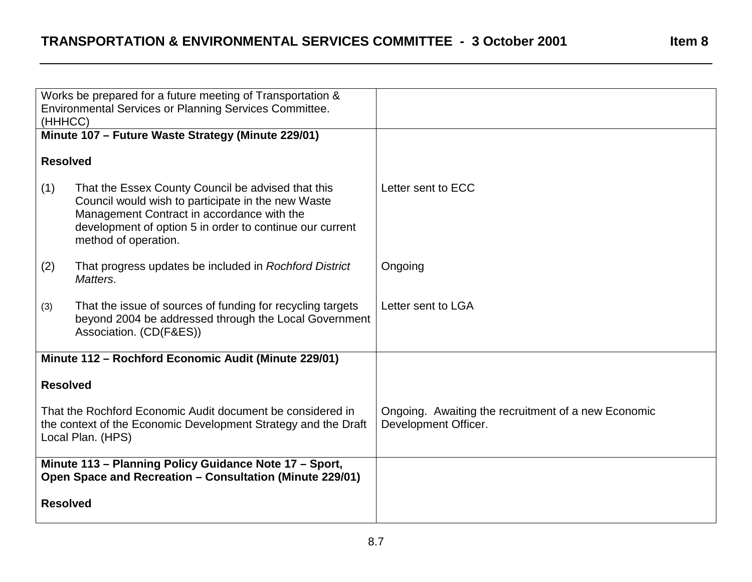|                                                                                                                                                   | Works be prepared for a future meeting of Transportation &<br><b>Environmental Services or Planning Services Committee.</b>                                                                                                                |                                                                             |
|---------------------------------------------------------------------------------------------------------------------------------------------------|--------------------------------------------------------------------------------------------------------------------------------------------------------------------------------------------------------------------------------------------|-----------------------------------------------------------------------------|
| (HHHCC)                                                                                                                                           |                                                                                                                                                                                                                                            |                                                                             |
|                                                                                                                                                   | Minute 107 - Future Waste Strategy (Minute 229/01)                                                                                                                                                                                         |                                                                             |
| <b>Resolved</b>                                                                                                                                   |                                                                                                                                                                                                                                            |                                                                             |
| (1)                                                                                                                                               | That the Essex County Council be advised that this<br>Council would wish to participate in the new Waste<br>Management Contract in accordance with the<br>development of option 5 in order to continue our current<br>method of operation. | Letter sent to ECC                                                          |
| (2)                                                                                                                                               | That progress updates be included in Rochford District<br>Matters.                                                                                                                                                                         | Ongoing                                                                     |
| (3)                                                                                                                                               | That the issue of sources of funding for recycling targets<br>beyond 2004 be addressed through the Local Government<br>Association. (CD(F&ES))                                                                                             | Letter sent to LGA                                                          |
| Minute 112 - Rochford Economic Audit (Minute 229/01)                                                                                              |                                                                                                                                                                                                                                            |                                                                             |
| <b>Resolved</b>                                                                                                                                   |                                                                                                                                                                                                                                            |                                                                             |
| That the Rochford Economic Audit document be considered in<br>the context of the Economic Development Strategy and the Draft<br>Local Plan. (HPS) |                                                                                                                                                                                                                                            | Ongoing. Awaiting the recruitment of a new Economic<br>Development Officer. |
| Minute 113 - Planning Policy Guidance Note 17 - Sport,<br>Open Space and Recreation - Consultation (Minute 229/01)                                |                                                                                                                                                                                                                                            |                                                                             |
| <b>Resolved</b>                                                                                                                                   |                                                                                                                                                                                                                                            |                                                                             |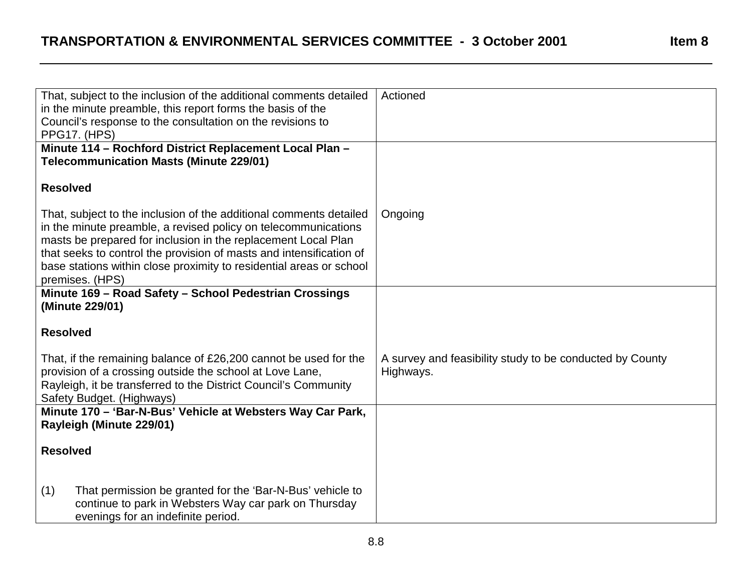| That, subject to the inclusion of the additional comments detailed                                        | Actioned                                                 |
|-----------------------------------------------------------------------------------------------------------|----------------------------------------------------------|
| in the minute preamble, this report forms the basis of the                                                |                                                          |
| Council's response to the consultation on the revisions to                                                |                                                          |
| <b>PPG17. (HPS)</b>                                                                                       |                                                          |
| Minute 114 - Rochford District Replacement Local Plan -<br><b>Telecommunication Masts (Minute 229/01)</b> |                                                          |
| <b>Resolved</b>                                                                                           |                                                          |
| That, subject to the inclusion of the additional comments detailed                                        | Ongoing                                                  |
| in the minute preamble, a revised policy on telecommunications                                            |                                                          |
| masts be prepared for inclusion in the replacement Local Plan                                             |                                                          |
| that seeks to control the provision of masts and intensification of                                       |                                                          |
| base stations within close proximity to residential areas or school                                       |                                                          |
| premises. (HPS)                                                                                           |                                                          |
| Minute 169 - Road Safety - School Pedestrian Crossings<br>(Minute 229/01)                                 |                                                          |
| <b>Resolved</b>                                                                                           |                                                          |
| That, if the remaining balance of £26,200 cannot be used for the                                          | A survey and feasibility study to be conducted by County |
| provision of a crossing outside the school at Love Lane,                                                  | Highways.                                                |
| Rayleigh, it be transferred to the District Council's Community                                           |                                                          |
| Safety Budget. (Highways)                                                                                 |                                                          |
| Minute 170 - 'Bar-N-Bus' Vehicle at Websters Way Car Park,                                                |                                                          |
| Rayleigh (Minute 229/01)                                                                                  |                                                          |
|                                                                                                           |                                                          |
| <b>Resolved</b>                                                                                           |                                                          |
|                                                                                                           |                                                          |
| (1)<br>That permission be granted for the 'Bar-N-Bus' vehicle to                                          |                                                          |
| continue to park in Websters Way car park on Thursday                                                     |                                                          |
| evenings for an indefinite period.                                                                        |                                                          |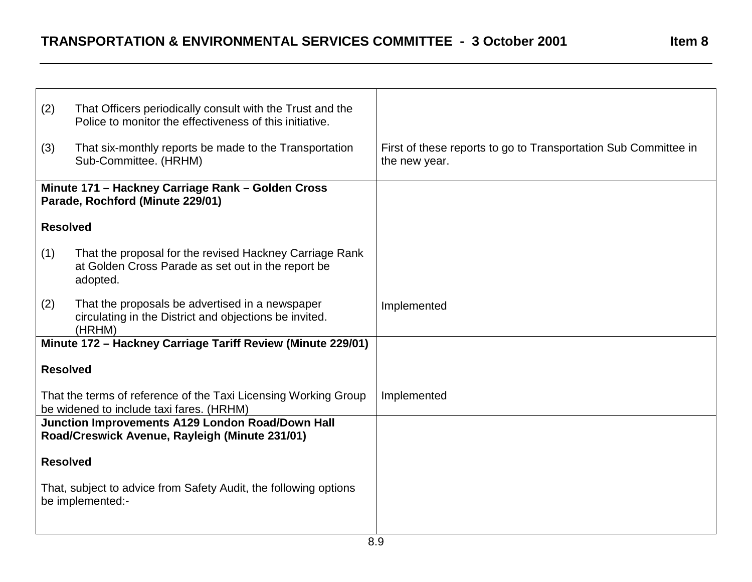| (2)                                                                                  | That Officers periodically consult with the Trust and the<br>Police to monitor the effectiveness of this initiative.      |                                                                                  |
|--------------------------------------------------------------------------------------|---------------------------------------------------------------------------------------------------------------------------|----------------------------------------------------------------------------------|
| (3)                                                                                  | That six-monthly reports be made to the Transportation<br>Sub-Committee. (HRHM)                                           | First of these reports to go to Transportation Sub Committee in<br>the new year. |
|                                                                                      | Minute 171 - Hackney Carriage Rank - Golden Cross<br>Parade, Rochford (Minute 229/01)                                     |                                                                                  |
| <b>Resolved</b>                                                                      |                                                                                                                           |                                                                                  |
| (1)                                                                                  | That the proposal for the revised Hackney Carriage Rank<br>at Golden Cross Parade as set out in the report be<br>adopted. |                                                                                  |
| (2)                                                                                  | That the proposals be advertised in a newspaper<br>circulating in the District and objections be invited.<br>(HRHM)       | Implemented                                                                      |
|                                                                                      | Minute 172 - Hackney Carriage Tariff Review (Minute 229/01)                                                               |                                                                                  |
| <b>Resolved</b>                                                                      |                                                                                                                           |                                                                                  |
|                                                                                      | That the terms of reference of the Taxi Licensing Working Group<br>be widened to include taxi fares. (HRHM)               | Implemented                                                                      |
|                                                                                      | Junction Improvements A129 London Road/Down Hall<br>Road/Creswick Avenue, Rayleigh (Minute 231/01)                        |                                                                                  |
| <b>Resolved</b>                                                                      |                                                                                                                           |                                                                                  |
| That, subject to advice from Safety Audit, the following options<br>be implemented:- |                                                                                                                           |                                                                                  |
|                                                                                      |                                                                                                                           |                                                                                  |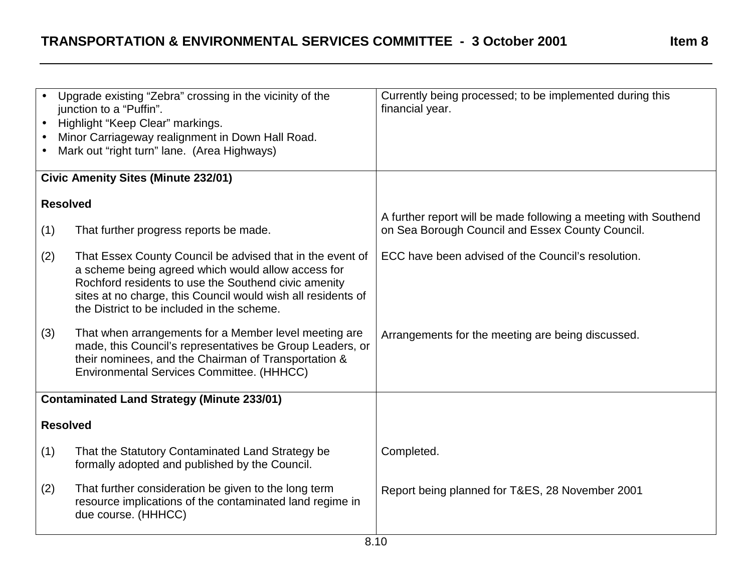| $\bullet$<br>$\bullet$ | Upgrade existing "Zebra" crossing in the vicinity of the<br>junction to a "Puffin".<br>Highlight "Keep Clear" markings.<br>Minor Carriageway realignment in Down Hall Road.<br>Mark out "right turn" lane. (Area Highways)                                                            | Currently being processed; to be implemented during this<br>financial year.                                         |
|------------------------|---------------------------------------------------------------------------------------------------------------------------------------------------------------------------------------------------------------------------------------------------------------------------------------|---------------------------------------------------------------------------------------------------------------------|
|                        | <b>Civic Amenity Sites (Minute 232/01)</b>                                                                                                                                                                                                                                            |                                                                                                                     |
| <b>Resolved</b>        |                                                                                                                                                                                                                                                                                       |                                                                                                                     |
| (1)                    | That further progress reports be made.                                                                                                                                                                                                                                                | A further report will be made following a meeting with Southend<br>on Sea Borough Council and Essex County Council. |
| (2)                    | That Essex County Council be advised that in the event of<br>a scheme being agreed which would allow access for<br>Rochford residents to use the Southend civic amenity<br>sites at no charge, this Council would wish all residents of<br>the District to be included in the scheme. | ECC have been advised of the Council's resolution.                                                                  |
| (3)                    | That when arrangements for a Member level meeting are<br>made, this Council's representatives be Group Leaders, or<br>their nominees, and the Chairman of Transportation &<br>Environmental Services Committee. (HHHCC)                                                               | Arrangements for the meeting are being discussed.                                                                   |
|                        | <b>Contaminated Land Strategy (Minute 233/01)</b>                                                                                                                                                                                                                                     |                                                                                                                     |
| <b>Resolved</b>        |                                                                                                                                                                                                                                                                                       |                                                                                                                     |
| (1)                    | That the Statutory Contaminated Land Strategy be<br>formally adopted and published by the Council.                                                                                                                                                                                    | Completed.                                                                                                          |
| (2)                    | That further consideration be given to the long term<br>resource implications of the contaminated land regime in<br>due course. (HHHCC)                                                                                                                                               | Report being planned for T&ES, 28 November 2001                                                                     |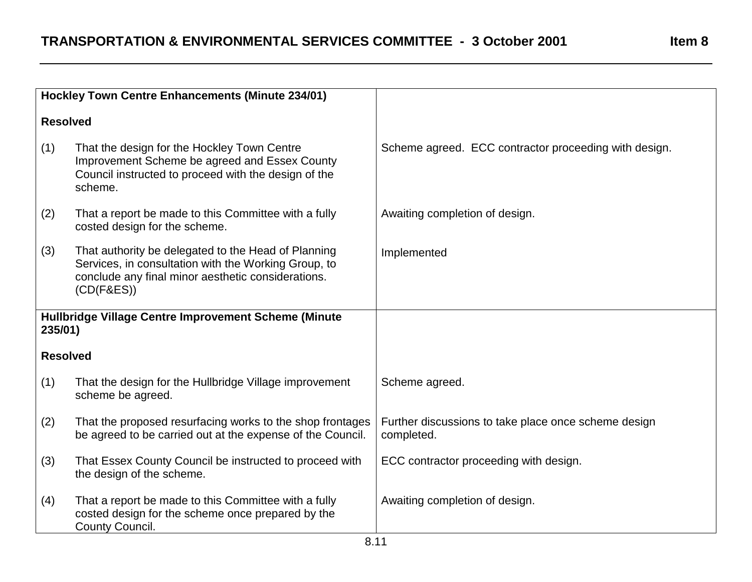|                 | <b>Hockley Town Centre Enhancements (Minute 234/01)</b>                                                                                                                         |                                                                    |
|-----------------|---------------------------------------------------------------------------------------------------------------------------------------------------------------------------------|--------------------------------------------------------------------|
| <b>Resolved</b> |                                                                                                                                                                                 |                                                                    |
| (1)             | That the design for the Hockley Town Centre<br>Improvement Scheme be agreed and Essex County<br>Council instructed to proceed with the design of the<br>scheme.                 | Scheme agreed. ECC contractor proceeding with design.              |
| (2)             | That a report be made to this Committee with a fully<br>costed design for the scheme.                                                                                           | Awaiting completion of design.                                     |
| (3)             | That authority be delegated to the Head of Planning<br>Services, in consultation with the Working Group, to<br>conclude any final minor aesthetic considerations.<br>(CD(F&ES)) | Implemented                                                        |
| 235/01)         | Hullbridge Village Centre Improvement Scheme (Minute                                                                                                                            |                                                                    |
| <b>Resolved</b> |                                                                                                                                                                                 |                                                                    |
| (1)             | That the design for the Hullbridge Village improvement<br>scheme be agreed.                                                                                                     | Scheme agreed.                                                     |
| (2)             | That the proposed resurfacing works to the shop frontages<br>be agreed to be carried out at the expense of the Council.                                                         | Further discussions to take place once scheme design<br>completed. |
| (3)             | That Essex County Council be instructed to proceed with<br>the design of the scheme.                                                                                            | ECC contractor proceeding with design.                             |
| (4)             | That a report be made to this Committee with a fully<br>costed design for the scheme once prepared by the<br>County Council.                                                    | Awaiting completion of design.                                     |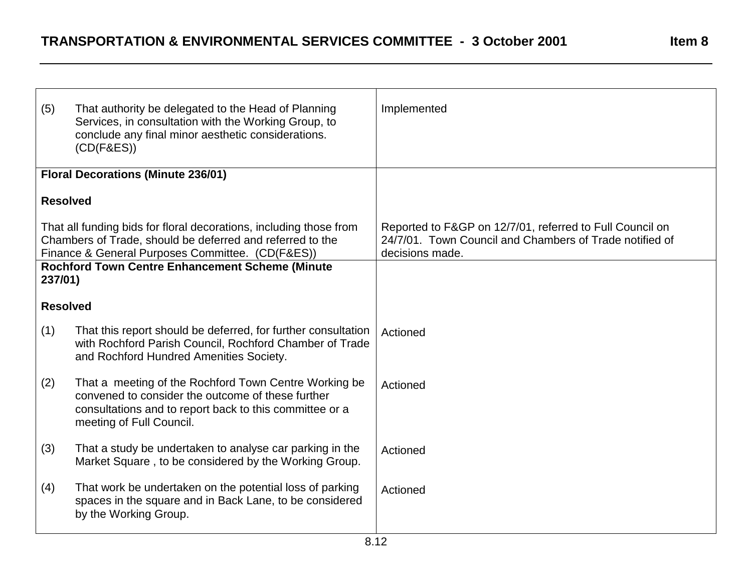| (5)                                                                                                                                                                                 | That authority be delegated to the Head of Planning<br>Services, in consultation with the Working Group, to<br>conclude any final minor aesthetic considerations.<br>$(CD(F\&ES))$                | Implemented                                                                                                                            |
|-------------------------------------------------------------------------------------------------------------------------------------------------------------------------------------|---------------------------------------------------------------------------------------------------------------------------------------------------------------------------------------------------|----------------------------------------------------------------------------------------------------------------------------------------|
|                                                                                                                                                                                     | <b>Floral Decorations (Minute 236/01)</b>                                                                                                                                                         |                                                                                                                                        |
| <b>Resolved</b>                                                                                                                                                                     |                                                                                                                                                                                                   |                                                                                                                                        |
| That all funding bids for floral decorations, including those from<br>Chambers of Trade, should be deferred and referred to the<br>Finance & General Purposes Committee. (CD(F&ES)) |                                                                                                                                                                                                   | Reported to F&GP on 12/7/01, referred to Full Council on<br>24/7/01. Town Council and Chambers of Trade notified of<br>decisions made. |
| 237/01)                                                                                                                                                                             | <b>Rochford Town Centre Enhancement Scheme (Minute</b>                                                                                                                                            |                                                                                                                                        |
| <b>Resolved</b>                                                                                                                                                                     |                                                                                                                                                                                                   |                                                                                                                                        |
| (1)                                                                                                                                                                                 | That this report should be deferred, for further consultation<br>with Rochford Parish Council, Rochford Chamber of Trade<br>and Rochford Hundred Amenities Society.                               | Actioned                                                                                                                               |
| (2)                                                                                                                                                                                 | That a meeting of the Rochford Town Centre Working be<br>convened to consider the outcome of these further<br>consultations and to report back to this committee or a<br>meeting of Full Council. | Actioned                                                                                                                               |
| (3)                                                                                                                                                                                 | That a study be undertaken to analyse car parking in the<br>Market Square, to be considered by the Working Group.                                                                                 | Actioned                                                                                                                               |
| (4)                                                                                                                                                                                 | That work be undertaken on the potential loss of parking<br>spaces in the square and in Back Lane, to be considered<br>by the Working Group.                                                      | Actioned                                                                                                                               |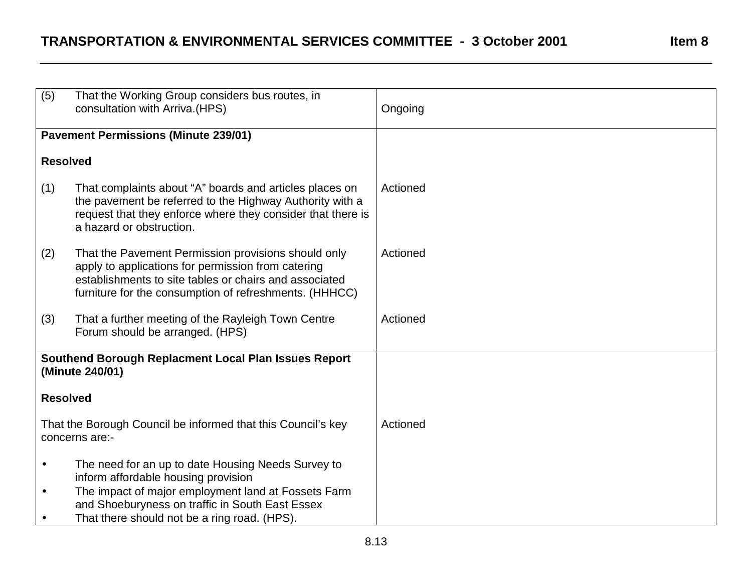## **TRANSPORTATION & ENVIRONMENTAL SERVICES COMMITTEE - 3 October 2001 Item 8**

| (5)                                                                            | That the Working Group considers bus routes, in<br>consultation with Arriva. (HPS)                                                                                                                                            | Ongoing  |
|--------------------------------------------------------------------------------|-------------------------------------------------------------------------------------------------------------------------------------------------------------------------------------------------------------------------------|----------|
| <b>Pavement Permissions (Minute 239/01)</b>                                    |                                                                                                                                                                                                                               |          |
| <b>Resolved</b>                                                                |                                                                                                                                                                                                                               |          |
| (1)                                                                            | That complaints about "A" boards and articles places on<br>the pavement be referred to the Highway Authority with a<br>request that they enforce where they consider that there is<br>a hazard or obstruction.                | Actioned |
| (2)                                                                            | That the Pavement Permission provisions should only<br>apply to applications for permission from catering<br>establishments to site tables or chairs and associated<br>furniture for the consumption of refreshments. (HHHCC) | Actioned |
| (3)                                                                            | That a further meeting of the Rayleigh Town Centre<br>Forum should be arranged. (HPS)                                                                                                                                         | Actioned |
| Southend Borough Replacment Local Plan Issues Report<br>(Minute 240/01)        |                                                                                                                                                                                                                               |          |
| <b>Resolved</b>                                                                |                                                                                                                                                                                                                               |          |
| That the Borough Council be informed that this Council's key<br>concerns are:- |                                                                                                                                                                                                                               | Actioned |
| $\bullet$                                                                      | The need for an up to date Housing Needs Survey to<br>inform affordable housing provision                                                                                                                                     |          |
| $\bullet$<br>$\bullet$                                                         | The impact of major employment land at Fossets Farm<br>and Shoeburyness on traffic in South East Essex<br>That there should not be a ring road. (HPS).                                                                        |          |